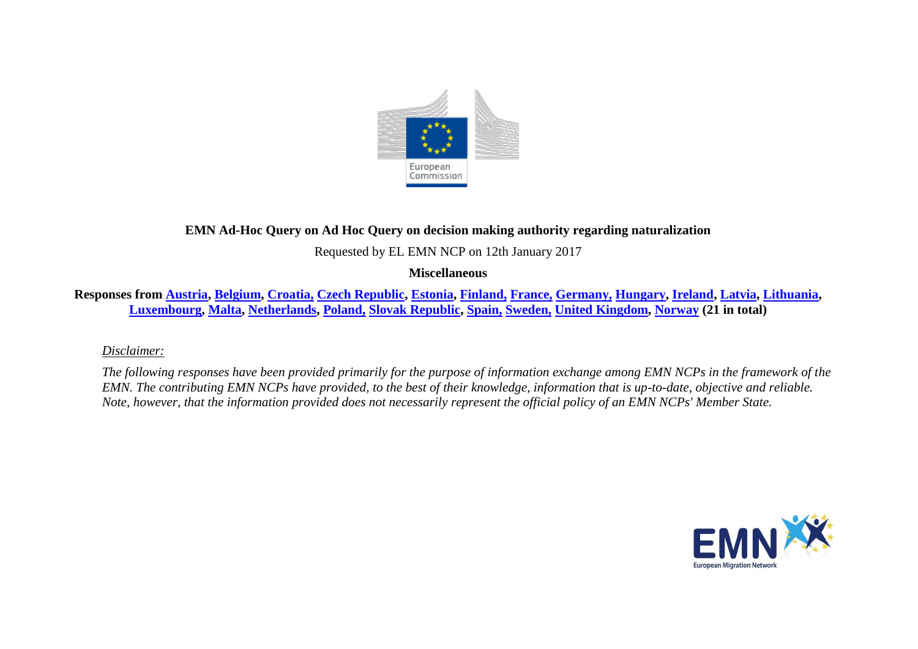

# **EMN Ad-Hoc Query on Ad Hoc Query on decision making authority regarding naturalization**

Requested by EL EMN NCP on 12th January 2017

### **Miscellaneous**

Responses from [Austria,](#page-1-0) [Belgium,](#page-2-0) [Croatia,](#page-2-1) [Czech Republic,](#page-3-0) [Estonia,](#page-3-1) [Finland,](#page-3-2) [France,](#page-3-3) [Germany,](#page-3-4) [Hungary,](#page-4-0) [Ireland,](#page-4-1) [Latvia,](#page-4-2) [Lithuania,](#page-5-0) **[Luxembourg,](#page-5-1) [Malta,](#page-5-2) [Netherlands,](#page-5-3) [Poland,](#page-6-0) [Slovak Republic,](#page-6-1) [Spain,](#page-6-2) [Sweden,](#page-7-0) [United Kingdom,](#page-8-0) [Norway](#page-8-1) (21 in total)**

*Disclaimer:* 

*The following responses have been provided primarily for the purpose of information exchange among EMN NCPs in the framework of the EMN. The contributing EMN NCPs have provided, to the best of their knowledge, information that is up-to-date, objective and reliable. Note, however, that the information provided does not necessarily represent the official policy of an EMN NCPs' Member State.*

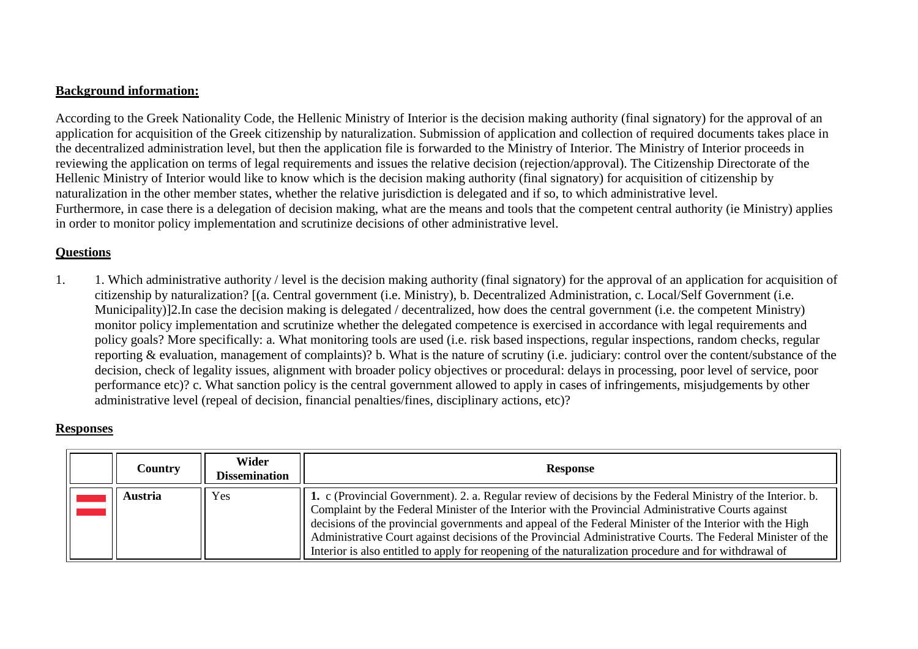### **Background information:**

According to the Greek Nationality Code, the Hellenic Ministry of Interior is the decision making authority (final signatory) for the approval of an application for acquisition of the Greek citizenship by naturalization. Submission of application and collection of required documents takes place in the decentralized administration level, but then the application file is forwarded to the Ministry of Interior. The Ministry of Interior proceeds in reviewing the application on terms of legal requirements and issues the relative decision (rejection/approval). The Citizenship Directorate of the Hellenic Ministry of Interior would like to know which is the decision making authority (final signatory) for acquisition of citizenship by naturalization in the other member states, whether the relative jurisdiction is delegated and if so, to which administrative level. Furthermore, in case there is a delegation of decision making, what are the means and tools that the competent central authority (ie Ministry) applies in order to monitor policy implementation and scrutinize decisions of other administrative level.

## **Questions**

1. 1. Which administrative authority / level is the decision making authority (final signatory) for the approval of an application for acquisition of citizenship by naturalization? [(a. Central government (i.e. Ministry), b. Decentralized Administration, c. Local/Self Government (i.e. Municipality)]2.In case the decision making is delegated / decentralized, how does the central government (i.e. the competent Ministry) monitor policy implementation and scrutinize whether the delegated competence is exercised in accordance with legal requirements and policy goals? More specifically: a. What monitoring tools are used (i.e. risk based inspections, regular inspections, random checks, regular reporting & evaluation, management of complaints)? b. What is the nature of scrutiny (i.e. judiciary: control over the content/substance of the decision, check of legality issues, alignment with broader policy objectives or procedural: delays in processing, poor level of service, poor performance etc)? c. What sanction policy is the central government allowed to apply in cases of infringements, misjudgements by other administrative level (repeal of decision, financial penalties/fines, disciplinary actions, etc)?

### **Responses**

<span id="page-1-0"></span>

| Country | Wider<br><b>Dissemination</b> | <b>Response</b>                                                                                                                                                                                                                                                                                                                                                                                                                                                                                                                                         |
|---------|-------------------------------|---------------------------------------------------------------------------------------------------------------------------------------------------------------------------------------------------------------------------------------------------------------------------------------------------------------------------------------------------------------------------------------------------------------------------------------------------------------------------------------------------------------------------------------------------------|
| Austria | <b>Yes</b>                    | 1. c (Provincial Government). 2. a. Regular review of decisions by the Federal Ministry of the Interior. b.<br>Complaint by the Federal Minister of the Interior with the Provincial Administrative Courts against<br>decisions of the provincial governments and appeal of the Federal Minister of the Interior with the High<br>Administrative Court against decisions of the Provincial Administrative Courts. The Federal Minister of the<br>Interior is also entitled to apply for reopening of the naturalization procedure and for withdrawal of |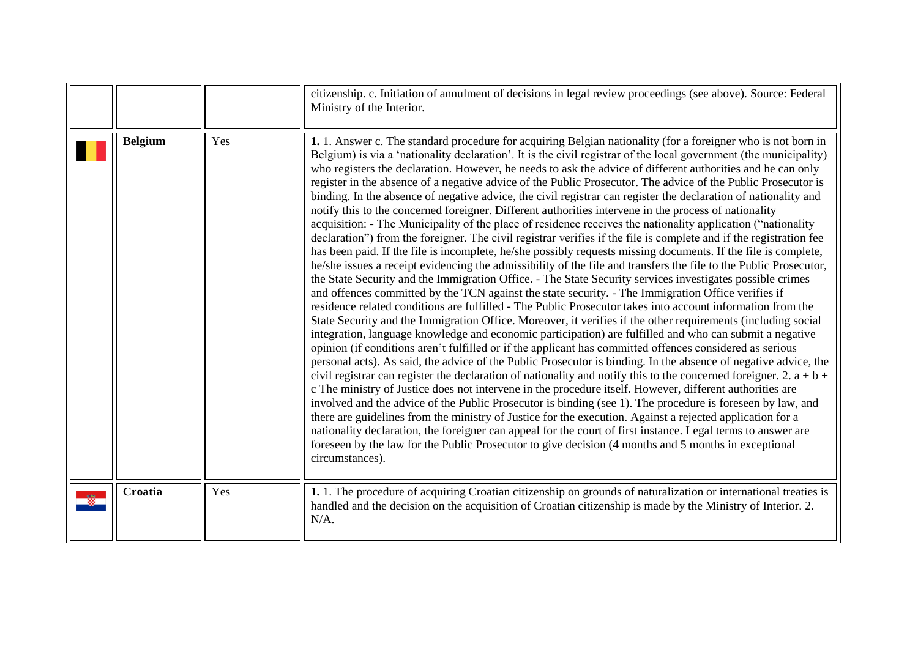<span id="page-2-1"></span><span id="page-2-0"></span>

|                |     | citizenship. c. Initiation of annulment of decisions in legal review proceedings (see above). Source: Federal<br>Ministry of the Interior.                                                                                                                                                                                                                                                                                                                                                                                                                                                                                                                                                                                                                                                                                                                                                                                                                                                                                                                                                                                                                                                                                                                                                                                                                                                                                                                                                                                                                                                                                                                                                                                                                                                                                                                                                                                                                                                                                                                                                                                                                                                                                                                                                                                                                                                                                                                                                                                                                                                                                                                                      |
|----------------|-----|---------------------------------------------------------------------------------------------------------------------------------------------------------------------------------------------------------------------------------------------------------------------------------------------------------------------------------------------------------------------------------------------------------------------------------------------------------------------------------------------------------------------------------------------------------------------------------------------------------------------------------------------------------------------------------------------------------------------------------------------------------------------------------------------------------------------------------------------------------------------------------------------------------------------------------------------------------------------------------------------------------------------------------------------------------------------------------------------------------------------------------------------------------------------------------------------------------------------------------------------------------------------------------------------------------------------------------------------------------------------------------------------------------------------------------------------------------------------------------------------------------------------------------------------------------------------------------------------------------------------------------------------------------------------------------------------------------------------------------------------------------------------------------------------------------------------------------------------------------------------------------------------------------------------------------------------------------------------------------------------------------------------------------------------------------------------------------------------------------------------------------------------------------------------------------------------------------------------------------------------------------------------------------------------------------------------------------------------------------------------------------------------------------------------------------------------------------------------------------------------------------------------------------------------------------------------------------------------------------------------------------------------------------------------------------|
| <b>Belgium</b> | Yes | 1. 1. Answer c. The standard procedure for acquiring Belgian nationality (for a foreigner who is not born in<br>Belgium) is via a 'nationality declaration'. It is the civil registrar of the local government (the municipality)<br>who registers the declaration. However, he needs to ask the advice of different authorities and he can only<br>register in the absence of a negative advice of the Public Prosecutor. The advice of the Public Prosecutor is<br>binding. In the absence of negative advice, the civil registrar can register the declaration of nationality and<br>notify this to the concerned foreigner. Different authorities intervene in the process of nationality<br>acquisition: - The Municipality of the place of residence receives the nationality application ("nationality<br>declaration") from the foreigner. The civil registrar verifies if the file is complete and if the registration fee<br>has been paid. If the file is incomplete, he/she possibly requests missing documents. If the file is complete,<br>he/she issues a receipt evidencing the admissibility of the file and transfers the file to the Public Prosecutor,<br>the State Security and the Immigration Office. - The State Security services investigates possible crimes<br>and offences committed by the TCN against the state security. - The Immigration Office verifies if<br>residence related conditions are fulfilled - The Public Prosecutor takes into account information from the<br>State Security and the Immigration Office. Moreover, it verifies if the other requirements (including social<br>integration, language knowledge and economic participation) are fulfilled and who can submit a negative<br>opinion (if conditions aren't fulfilled or if the applicant has committed offences considered as serious<br>personal acts). As said, the advice of the Public Prosecutor is binding. In the absence of negative advice, the<br>civil registrar can register the declaration of nationality and notify this to the concerned foreigner. 2. $a + b +$<br>c The ministry of Justice does not intervene in the procedure itself. However, different authorities are<br>involved and the advice of the Public Prosecutor is binding (see 1). The procedure is foreseen by law, and<br>there are guidelines from the ministry of Justice for the execution. Against a rejected application for a<br>nationality declaration, the foreigner can appeal for the court of first instance. Legal terms to answer are<br>foreseen by the law for the Public Prosecutor to give decision (4 months and 5 months in exceptional<br>circumstances). |
| Croatia        | Yes | 1. 1. The procedure of acquiring Croatian citizenship on grounds of naturalization or international treaties is<br>handled and the decision on the acquisition of Croatian citizenship is made by the Ministry of Interior. 2.<br>$N/A$ .                                                                                                                                                                                                                                                                                                                                                                                                                                                                                                                                                                                                                                                                                                                                                                                                                                                                                                                                                                                                                                                                                                                                                                                                                                                                                                                                                                                                                                                                                                                                                                                                                                                                                                                                                                                                                                                                                                                                                                                                                                                                                                                                                                                                                                                                                                                                                                                                                                       |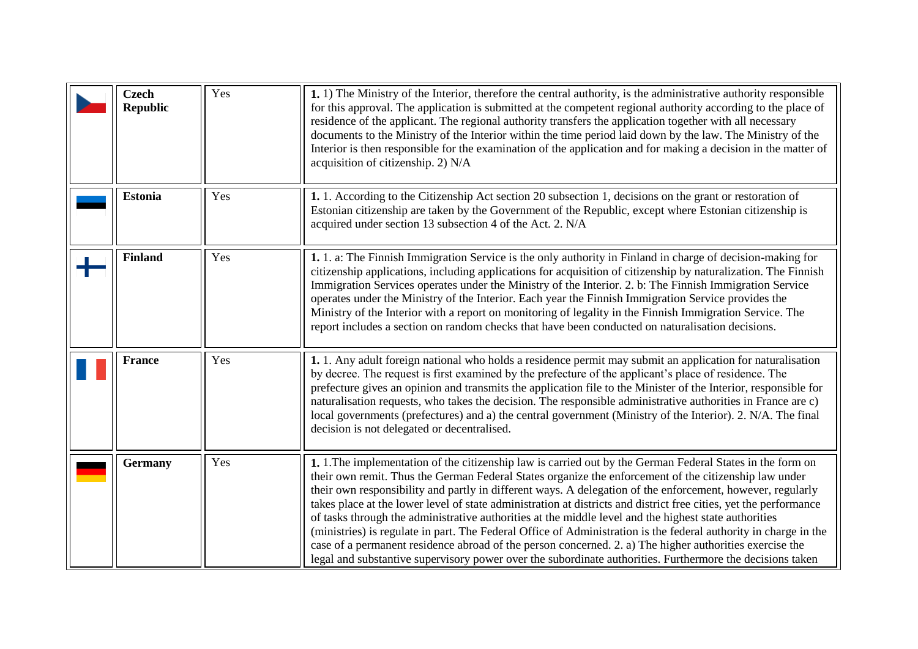<span id="page-3-4"></span><span id="page-3-3"></span><span id="page-3-2"></span><span id="page-3-1"></span><span id="page-3-0"></span>

| <b>Czech</b><br><b>Republic</b> | Yes | 1. 1) The Ministry of the Interior, therefore the central authority, is the administrative authority responsible<br>for this approval. The application is submitted at the competent regional authority according to the place of<br>residence of the applicant. The regional authority transfers the application together with all necessary<br>documents to the Ministry of the Interior within the time period laid down by the law. The Ministry of the<br>Interior is then responsible for the examination of the application and for making a decision in the matter of<br>acquisition of citizenship. 2) N/A                                                                                                                                                                                                                                                                                         |
|---------------------------------|-----|-------------------------------------------------------------------------------------------------------------------------------------------------------------------------------------------------------------------------------------------------------------------------------------------------------------------------------------------------------------------------------------------------------------------------------------------------------------------------------------------------------------------------------------------------------------------------------------------------------------------------------------------------------------------------------------------------------------------------------------------------------------------------------------------------------------------------------------------------------------------------------------------------------------|
| <b>Estonia</b>                  | Yes | 1. 1. According to the Citizenship Act section 20 subsection 1, decisions on the grant or restoration of<br>Estonian citizenship are taken by the Government of the Republic, except where Estonian citizenship is<br>acquired under section 13 subsection 4 of the Act. 2. N/A                                                                                                                                                                                                                                                                                                                                                                                                                                                                                                                                                                                                                             |
| <b>Finland</b>                  | Yes | 1. 1. a: The Finnish Immigration Service is the only authority in Finland in charge of decision-making for<br>citizenship applications, including applications for acquisition of citizenship by naturalization. The Finnish<br>Immigration Services operates under the Ministry of the Interior. 2. b: The Finnish Immigration Service<br>operates under the Ministry of the Interior. Each year the Finnish Immigration Service provides the<br>Ministry of the Interior with a report on monitoring of legality in the Finnish Immigration Service. The<br>report includes a section on random checks that have been conducted on naturalisation decisions.                                                                                                                                                                                                                                              |
| <b>France</b>                   | Yes | 1. 1. Any adult foreign national who holds a residence permit may submit an application for naturalisation<br>by decree. The request is first examined by the prefecture of the applicant's place of residence. The<br>prefecture gives an opinion and transmits the application file to the Minister of the Interior, responsible for<br>naturalisation requests, who takes the decision. The responsible administrative authorities in France are c)<br>local governments (prefectures) and a) the central government (Ministry of the Interior). 2. N/A. The final<br>decision is not delegated or decentralised.                                                                                                                                                                                                                                                                                        |
| <b>Germany</b>                  | Yes | 1. 1. The implementation of the citizenship law is carried out by the German Federal States in the form on<br>their own remit. Thus the German Federal States organize the enforcement of the citizenship law under<br>their own responsibility and partly in different ways. A delegation of the enforcement, however, regularly<br>takes place at the lower level of state administration at districts and district free cities, yet the performance<br>of tasks through the administrative authorities at the middle level and the highest state authorities<br>(ministries) is regulate in part. The Federal Office of Administration is the federal authority in charge in the<br>case of a permanent residence abroad of the person concerned. 2. a) The higher authorities exercise the<br>legal and substantive supervisory power over the subordinate authorities. Furthermore the decisions taken |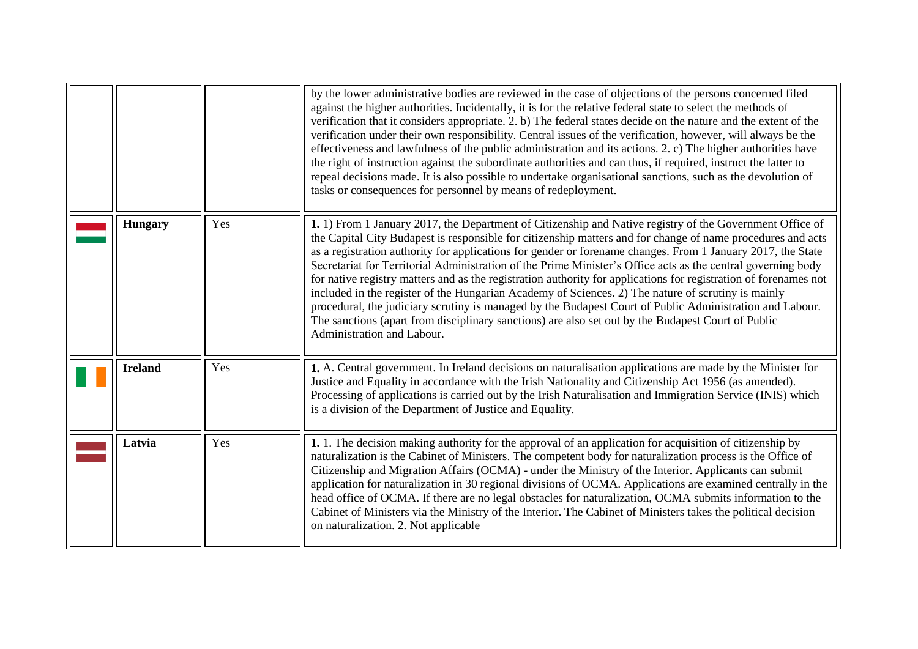<span id="page-4-2"></span><span id="page-4-1"></span><span id="page-4-0"></span>

|                |     | by the lower administrative bodies are reviewed in the case of objections of the persons concerned filed<br>against the higher authorities. Incidentally, it is for the relative federal state to select the methods of<br>verification that it considers appropriate. 2. b) The federal states decide on the nature and the extent of the<br>verification under their own responsibility. Central issues of the verification, however, will always be the<br>effectiveness and lawfulness of the public administration and its actions. 2. c) The higher authorities have<br>the right of instruction against the subordinate authorities and can thus, if required, instruct the latter to<br>repeal decisions made. It is also possible to undertake organisational sanctions, such as the devolution of<br>tasks or consequences for personnel by means of redeployment.                                                     |
|----------------|-----|----------------------------------------------------------------------------------------------------------------------------------------------------------------------------------------------------------------------------------------------------------------------------------------------------------------------------------------------------------------------------------------------------------------------------------------------------------------------------------------------------------------------------------------------------------------------------------------------------------------------------------------------------------------------------------------------------------------------------------------------------------------------------------------------------------------------------------------------------------------------------------------------------------------------------------|
| <b>Hungary</b> | Yes | 1. 1) From 1 January 2017, the Department of Citizenship and Native registry of the Government Office of<br>the Capital City Budapest is responsible for citizenship matters and for change of name procedures and acts<br>as a registration authority for applications for gender or forename changes. From 1 January 2017, the State<br>Secretariat for Territorial Administration of the Prime Minister's Office acts as the central governing body<br>for native registry matters and as the registration authority for applications for registration of forenames not<br>included in the register of the Hungarian Academy of Sciences. 2) The nature of scrutiny is mainly<br>procedural, the judiciary scrutiny is managed by the Budapest Court of Public Administration and Labour.<br>The sanctions (apart from disciplinary sanctions) are also set out by the Budapest Court of Public<br>Administration and Labour. |
| <b>Ireland</b> | Yes | 1. A. Central government. In Ireland decisions on naturalisation applications are made by the Minister for<br>Justice and Equality in accordance with the Irish Nationality and Citizenship Act 1956 (as amended).<br>Processing of applications is carried out by the Irish Naturalisation and Immigration Service (INIS) which<br>is a division of the Department of Justice and Equality.                                                                                                                                                                                                                                                                                                                                                                                                                                                                                                                                     |
| Latvia         | Yes | 1. 1. The decision making authority for the approval of an application for acquisition of citizenship by<br>naturalization is the Cabinet of Ministers. The competent body for naturalization process is the Office of<br>Citizenship and Migration Affairs (OCMA) - under the Ministry of the Interior. Applicants can submit<br>application for naturalization in 30 regional divisions of OCMA. Applications are examined centrally in the<br>head office of OCMA. If there are no legal obstacles for naturalization, OCMA submits information to the<br>Cabinet of Ministers via the Ministry of the Interior. The Cabinet of Ministers takes the political decision<br>on naturalization. 2. Not applicable                                                                                                                                                                                                                |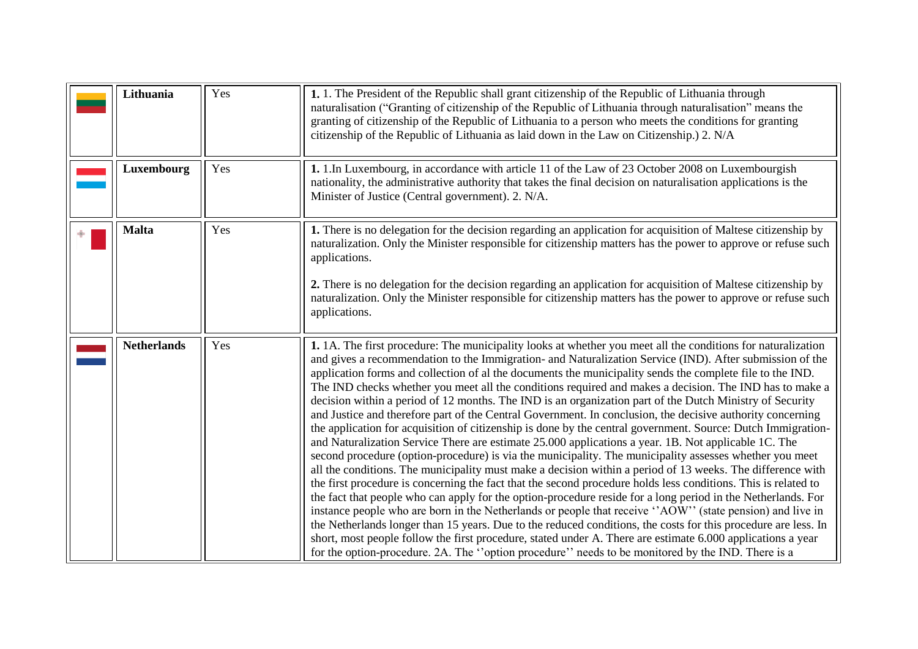<span id="page-5-3"></span><span id="page-5-2"></span><span id="page-5-1"></span><span id="page-5-0"></span>

| Lithuania          | Yes | 1. 1. The President of the Republic shall grant citizenship of the Republic of Lithuania through<br>naturalisation ("Granting of citizenship of the Republic of Lithuania through naturalisation" means the<br>granting of citizenship of the Republic of Lithuania to a person who meets the conditions for granting<br>citizenship of the Republic of Lithuania as laid down in the Law on Citizenship.) 2. N/A                                                                                                                                                                                                                                                                                                                                                                                                                                                                                                                                                                                                                                                                                                                                                                                                                                                                                                                                                                                                                                                                                                                                                                                                                                                                                                                                                                                               |
|--------------------|-----|-----------------------------------------------------------------------------------------------------------------------------------------------------------------------------------------------------------------------------------------------------------------------------------------------------------------------------------------------------------------------------------------------------------------------------------------------------------------------------------------------------------------------------------------------------------------------------------------------------------------------------------------------------------------------------------------------------------------------------------------------------------------------------------------------------------------------------------------------------------------------------------------------------------------------------------------------------------------------------------------------------------------------------------------------------------------------------------------------------------------------------------------------------------------------------------------------------------------------------------------------------------------------------------------------------------------------------------------------------------------------------------------------------------------------------------------------------------------------------------------------------------------------------------------------------------------------------------------------------------------------------------------------------------------------------------------------------------------------------------------------------------------------------------------------------------------|
| Luxembourg         | Yes | 1. 1. In Luxembourg, in accordance with article 11 of the Law of 23 October 2008 on Luxembourgish<br>nationality, the administrative authority that takes the final decision on naturalisation applications is the<br>Minister of Justice (Central government). 2. N/A.                                                                                                                                                                                                                                                                                                                                                                                                                                                                                                                                                                                                                                                                                                                                                                                                                                                                                                                                                                                                                                                                                                                                                                                                                                                                                                                                                                                                                                                                                                                                         |
| <b>Malta</b>       | Yes | 1. There is no delegation for the decision regarding an application for acquisition of Maltese citizenship by<br>naturalization. Only the Minister responsible for citizenship matters has the power to approve or refuse such<br>applications.<br>2. There is no delegation for the decision regarding an application for acquisition of Maltese citizenship by<br>naturalization. Only the Minister responsible for citizenship matters has the power to approve or refuse such<br>applications.                                                                                                                                                                                                                                                                                                                                                                                                                                                                                                                                                                                                                                                                                                                                                                                                                                                                                                                                                                                                                                                                                                                                                                                                                                                                                                              |
| <b>Netherlands</b> | Yes | 1. 1A. The first procedure: The municipality looks at whether you meet all the conditions for naturalization<br>and gives a recommendation to the Immigration- and Naturalization Service (IND). After submission of the<br>application forms and collection of al the documents the municipality sends the complete file to the IND.<br>The IND checks whether you meet all the conditions required and makes a decision. The IND has to make a<br>decision within a period of 12 months. The IND is an organization part of the Dutch Ministry of Security<br>and Justice and therefore part of the Central Government. In conclusion, the decisive authority concerning<br>the application for acquisition of citizenship is done by the central government. Source: Dutch Immigration-<br>and Naturalization Service There are estimate 25.000 applications a year. 1B. Not applicable 1C. The<br>second procedure (option-procedure) is via the municipality. The municipality assesses whether you meet<br>all the conditions. The municipality must make a decision within a period of 13 weeks. The difference with<br>the first procedure is concerning the fact that the second procedure holds less conditions. This is related to<br>the fact that people who can apply for the option-procedure reside for a long period in the Netherlands. For<br>instance people who are born in the Netherlands or people that receive "AOW" (state pension) and live in<br>the Netherlands longer than 15 years. Due to the reduced conditions, the costs for this procedure are less. In<br>short, most people follow the first procedure, stated under A. There are estimate 6.000 applications a year<br>for the option-procedure. 2A. The "option procedure" needs to be monitored by the IND. There is a |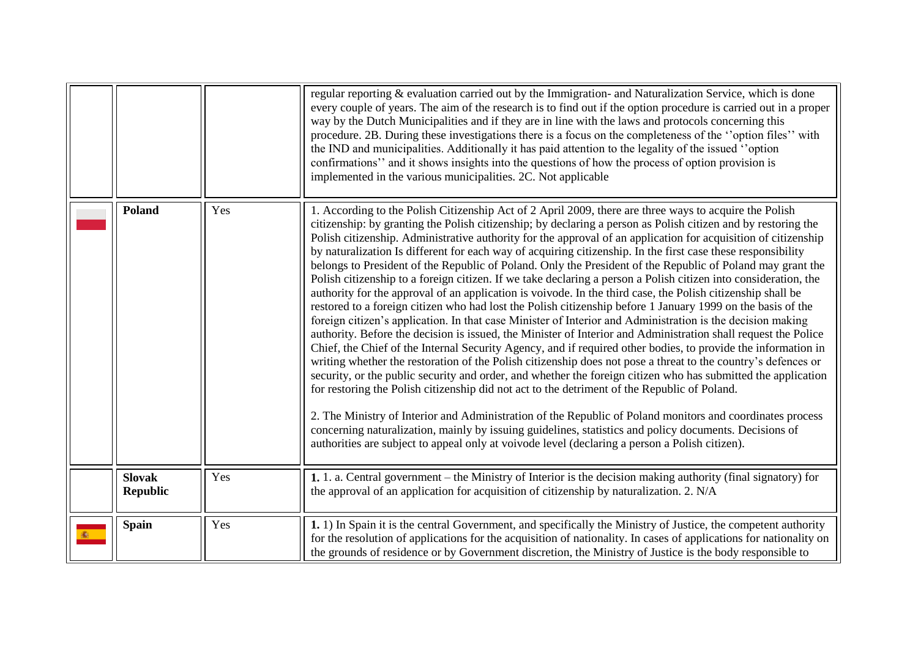<span id="page-6-2"></span><span id="page-6-1"></span><span id="page-6-0"></span>

|                                  |     | regular reporting & evaluation carried out by the Immigration- and Naturalization Service, which is done<br>every couple of years. The aim of the research is to find out if the option procedure is carried out in a proper<br>way by the Dutch Municipalities and if they are in line with the laws and protocols concerning this<br>procedure. 2B. During these investigations there is a focus on the completeness of the "option files" with<br>the IND and municipalities. Additionally it has paid attention to the legality of the issued "option"<br>confirmations" and it shows insights into the questions of how the process of option provision is<br>implemented in the various municipalities. 2C. Not applicable                                                                                                                                                                                                                                                                                                                                                                                                                                                                                                                                                                                                                                                                                                                                                                                                                                                                                                                                                                                                                                                                                                                                                                                                     |
|----------------------------------|-----|--------------------------------------------------------------------------------------------------------------------------------------------------------------------------------------------------------------------------------------------------------------------------------------------------------------------------------------------------------------------------------------------------------------------------------------------------------------------------------------------------------------------------------------------------------------------------------------------------------------------------------------------------------------------------------------------------------------------------------------------------------------------------------------------------------------------------------------------------------------------------------------------------------------------------------------------------------------------------------------------------------------------------------------------------------------------------------------------------------------------------------------------------------------------------------------------------------------------------------------------------------------------------------------------------------------------------------------------------------------------------------------------------------------------------------------------------------------------------------------------------------------------------------------------------------------------------------------------------------------------------------------------------------------------------------------------------------------------------------------------------------------------------------------------------------------------------------------------------------------------------------------------------------------------------------------|
| Poland                           | Yes | 1. According to the Polish Citizenship Act of 2 April 2009, there are three ways to acquire the Polish<br>citizenship: by granting the Polish citizenship; by declaring a person as Polish citizen and by restoring the<br>Polish citizenship. Administrative authority for the approval of an application for acquisition of citizenship<br>by naturalization Is different for each way of acquiring citizenship. In the first case these responsibility<br>belongs to President of the Republic of Poland. Only the President of the Republic of Poland may grant the<br>Polish citizenship to a foreign citizen. If we take declaring a person a Polish citizen into consideration, the<br>authority for the approval of an application is voivode. In the third case, the Polish citizenship shall be<br>restored to a foreign citizen who had lost the Polish citizenship before 1 January 1999 on the basis of the<br>foreign citizen's application. In that case Minister of Interior and Administration is the decision making<br>authority. Before the decision is issued, the Minister of Interior and Administration shall request the Police<br>Chief, the Chief of the Internal Security Agency, and if required other bodies, to provide the information in<br>writing whether the restoration of the Polish citizenship does not pose a threat to the country's defences or<br>security, or the public security and order, and whether the foreign citizen who has submitted the application<br>for restoring the Polish citizenship did not act to the detriment of the Republic of Poland.<br>2. The Ministry of Interior and Administration of the Republic of Poland monitors and coordinates process<br>concerning naturalization, mainly by issuing guidelines, statistics and policy documents. Decisions of<br>authorities are subject to appeal only at voivode level (declaring a person a Polish citizen). |
| <b>Slovak</b><br><b>Republic</b> | Yes | 1. 1. a. Central government – the Ministry of Interior is the decision making authority (final signatory) for<br>the approval of an application for acquisition of citizenship by naturalization. 2. N/A                                                                                                                                                                                                                                                                                                                                                                                                                                                                                                                                                                                                                                                                                                                                                                                                                                                                                                                                                                                                                                                                                                                                                                                                                                                                                                                                                                                                                                                                                                                                                                                                                                                                                                                             |
| <b>Spain</b>                     | Yes | 1. 1) In Spain it is the central Government, and specifically the Ministry of Justice, the competent authority<br>for the resolution of applications for the acquisition of nationality. In cases of applications for nationality on<br>the grounds of residence or by Government discretion, the Ministry of Justice is the body responsible to                                                                                                                                                                                                                                                                                                                                                                                                                                                                                                                                                                                                                                                                                                                                                                                                                                                                                                                                                                                                                                                                                                                                                                                                                                                                                                                                                                                                                                                                                                                                                                                     |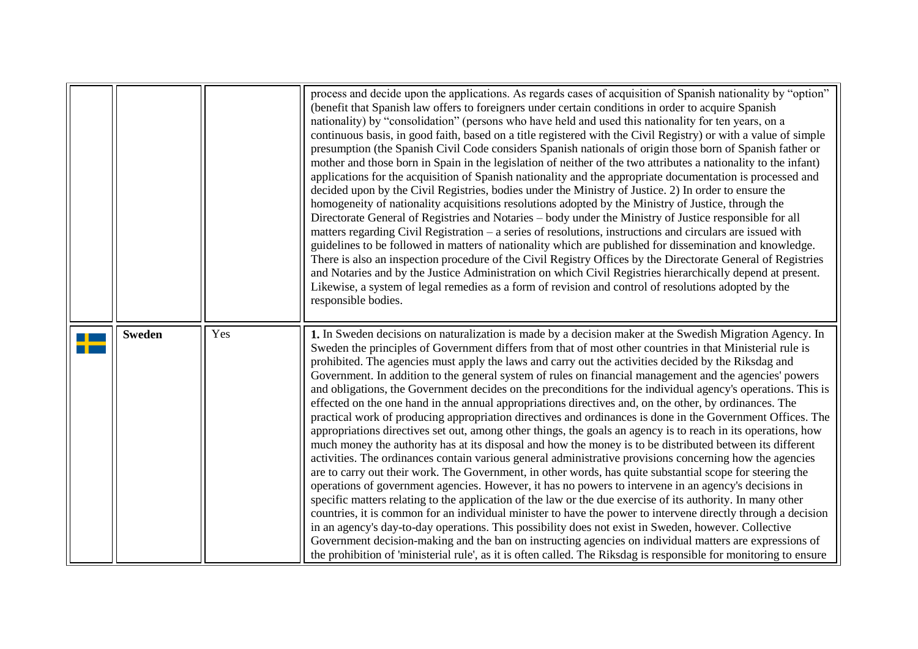<span id="page-7-0"></span>

|               |     | process and decide upon the applications. As regards cases of acquisition of Spanish nationality by "option"<br>(benefit that Spanish law offers to foreigners under certain conditions in order to acquire Spanish<br>nationality) by "consolidation" (persons who have held and used this nationality for ten years, on a<br>continuous basis, in good faith, based on a title registered with the Civil Registry) or with a value of simple<br>presumption (the Spanish Civil Code considers Spanish nationals of origin those born of Spanish father or<br>mother and those born in Spain in the legislation of neither of the two attributes a nationality to the infant)<br>applications for the acquisition of Spanish nationality and the appropriate documentation is processed and<br>decided upon by the Civil Registries, bodies under the Ministry of Justice. 2) In order to ensure the<br>homogeneity of nationality acquisitions resolutions adopted by the Ministry of Justice, through the<br>Directorate General of Registries and Notaries – body under the Ministry of Justice responsible for all<br>matters regarding Civil Registration – a series of resolutions, instructions and circulars are issued with<br>guidelines to be followed in matters of nationality which are published for dissemination and knowledge.<br>There is also an inspection procedure of the Civil Registry Offices by the Directorate General of Registries<br>and Notaries and by the Justice Administration on which Civil Registries hierarchically depend at present.<br>Likewise, a system of legal remedies as a form of revision and control of resolutions adopted by the<br>responsible bodies.                                                                                                                                                                                                           |
|---------------|-----|--------------------------------------------------------------------------------------------------------------------------------------------------------------------------------------------------------------------------------------------------------------------------------------------------------------------------------------------------------------------------------------------------------------------------------------------------------------------------------------------------------------------------------------------------------------------------------------------------------------------------------------------------------------------------------------------------------------------------------------------------------------------------------------------------------------------------------------------------------------------------------------------------------------------------------------------------------------------------------------------------------------------------------------------------------------------------------------------------------------------------------------------------------------------------------------------------------------------------------------------------------------------------------------------------------------------------------------------------------------------------------------------------------------------------------------------------------------------------------------------------------------------------------------------------------------------------------------------------------------------------------------------------------------------------------------------------------------------------------------------------------------------------------------------------------------------------------------------------------------------------------------------------------------------------|
| <b>Sweden</b> | Yes | 1. In Sweden decisions on naturalization is made by a decision maker at the Swedish Migration Agency. In<br>Sweden the principles of Government differs from that of most other countries in that Ministerial rule is<br>prohibited. The agencies must apply the laws and carry out the activities decided by the Riksdag and<br>Government. In addition to the general system of rules on financial management and the agencies' powers<br>and obligations, the Government decides on the preconditions for the individual agency's operations. This is<br>effected on the one hand in the annual appropriations directives and, on the other, by ordinances. The<br>practical work of producing appropriation directives and ordinances is done in the Government Offices. The<br>appropriations directives set out, among other things, the goals an agency is to reach in its operations, how<br>much money the authority has at its disposal and how the money is to be distributed between its different<br>activities. The ordinances contain various general administrative provisions concerning how the agencies<br>are to carry out their work. The Government, in other words, has quite substantial scope for steering the<br>operations of government agencies. However, it has no powers to intervene in an agency's decisions in<br>specific matters relating to the application of the law or the due exercise of its authority. In many other<br>countries, it is common for an individual minister to have the power to intervene directly through a decision<br>in an agency's day-to-day operations. This possibility does not exist in Sweden, however. Collective<br>Government decision-making and the ban on instructing agencies on individual matters are expressions of<br>the prohibition of 'ministerial rule', as it is often called. The Riksdag is responsible for monitoring to ensure |